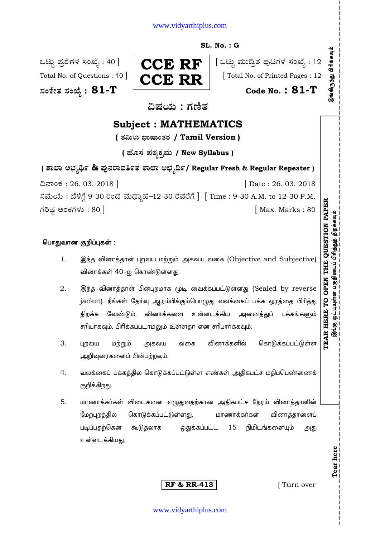## www.vidyarthiplus.com

## **SL. No. : G**

**—⁄MOÊfi}⁄ —⁄MSÊ¿ : 81-T Code No. : 81-T** 



ಒಟ್ಟು ಪ್ರಶೆಗಳ ಸಂಖ್ಯೆ : 40 ]  $\parallel$   $\cap$  $\cap$   $\mathbb F$   $\parallel$   $\parallel$  ಒಟ್ಟು ಮುದ್ರಿತ ಪುಟಗಳ ಸಂಖ್ಯೆ : 12 Total No. of Questions : 40  $\vert$   $\vert$   $\sim$   $\sim$   $\sim$   $\sim$   $\sim$   $\vert$   $\vert$  Total No. of Printed Pages : 12

ವಿಷಯ : ಗಣಿತ

# **Subject : MATHEMATICS**

**( }⁄…fl◊⁄fl ∫¤Œ¤M}⁄¡⁄ / Tamil Version )**

**( 'ʇ—⁄ Æ⁄p⁄¿O⁄√»⁄fl / New Syllabus )**

**( À¤≈¤ @∫⁄¥¿£% & Æ⁄'¥´⁄¡¤»⁄~%}⁄ À¤≈¤ @∫⁄¥¿£%/ Regular Fresh & Regular Repeater )**

¶´¤MO⁄ : 26. 03. 2018 ] [ Date : 26. 03. 2018 ಸಮಯ : ಬೆಳಿಗ್ಗೆ 9-30 ರಿಂದ ಮಧ್ಯಾಹ-12-30 ರವರೆಗೆ ] [ Time : 9-30 A.M. to 12-30 P.M. V⁄¬Œ⁄r @MO⁄V⁄◊⁄fl : 80 ] [ Max. Marks : 80

## பொதுவான குறிப்புகள் :

- 1. இந்த வினாத்தாள் புறவய மற்றும் அகவய வகை (Objective and Subjective) வினாக்கள் 40-ஐ கொண்டுள்ளது.
- 2. இந்த வினாத்தாள் பின்புறமாக மூடி வைக்கப்பட்டுள்ளது (Sealed by reverse jacket). நீங்கள் தேர்வு ஆரம்பிக்கும்பொழுது வலக்கைப் பக்க ஓரத்தை பிரித்து திறக்க வேண்டும். வினாக்களை உள்ளடக்கிய அனைத்துப் பக்கங்களும் சரியாகவும், பிரிக்கப்படாமலும் உள்ளதா என சரிபார்க்கவும்.
- 3. புறவய மற்றும் அகவய வகை வினாக்களில் கொடுக்கப்பட்டுள்ள அறிவுரைகளைப் பின்பற்றவும்.
- 4. வலக்கைப் பக்கத்தில் கொடுக்கப்பட்டுள்ள எண்கள் அதிகபட்ச மதிப்பெண்ணைக் குறிக்கிறது.
- 5. மாணாக்கர்கள் விடைகளை எழுதுவதற்கான அதிகபட்ச நேரம் வினாத்தாளின் ேற்புறத்தில் கொடுக்கப்பட்டுள்ளது, மாணாக்கர்கள் வினாத்தாளைப் படிப்பதற்கென கூடுதலாக ஒதுக்கப்பட்ட 15 நிமிடங்களையும் அது உள்ளடக்கியது.

**RF & RR-413** [ Turn over

**Tear here** 

Tear here

**TEAR HERE TO OPEN THE QUESTION PAPE**

இங்கு ஒட்டியுள்ள பகுதியைப் பிரித்துத் திறக்கவும்

**R** இங்கு ஒட்டியுள்ள பகுதியைப் பிரித்துத் திறக்கவும்<br>இங்கு ஒட்டியுள்ள பகுதியைப் பிரித்துத் திறக்கவும்

இங்கிருந்து பிரிக்கவும்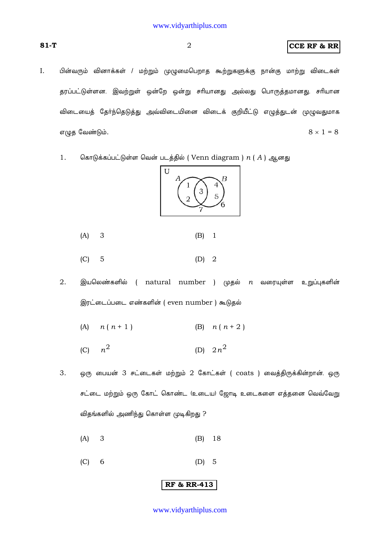$\overline{2}$ 

## **CCE RF & RR**

- I. பின்வரும் வினாக்கள் / மற்றும் முழுமைபெறாத கூற்றுகளுக்கு நான்கு மாற்று விடைகள் தரப்பட்டுள்ளன. இவற்றுள் ஒன்றே ஒன்று சரியானது அல்லது பொருத்தமானது. சரியான விடையைத் தேர்ந்தெடுத்து அவ்விடையினை விடைக் குறியீட்டு எழுத்துடன் முழுவதுமாக  $8 \times 1 = 8$ எழுத வேண்டும்.
	- $1.$ கொடுக்கப்பட்டுள்ள வென் படத்தில் ( Venn diagram )  $n$  ( A ) ஆனது

 $U$ 



- $(A)$ 3  $(B)$  $\overline{1}$
- $(C)$  $\overline{5}$  $\overline{2}$  $(D)$
- $2.$ இயலெண்களில் ( natural number ) முதல்  $n$  வரையுள்ள உறுப்புகளின் இரட்டைப்படை எண்களின் ( even number ) கூடுதல்
	- $(A)$  $n(n+1)$ (B)  $n(n+2)$
	- $n^2$ (D)  $2n^2$  $(C)$
- ஒரு பையன் 3 சட்டைகள் மற்றும் 2 கோட்கள் ( coats ) வைத்திருக்கின்றான். ஒரு 3. சட்டை மற்றும் ஒரு கோட் கொண்ட (உடைய) ஜோடி உடைகளை எத்தனை வெவ்வேறு விதங்களில் அணிந்து கொள்ள முடிகிறது ?
	- $(A)$ 3  $(B)$ 18
	- $(C)$ 6  $(D)$ 5

## **RF & RR-413**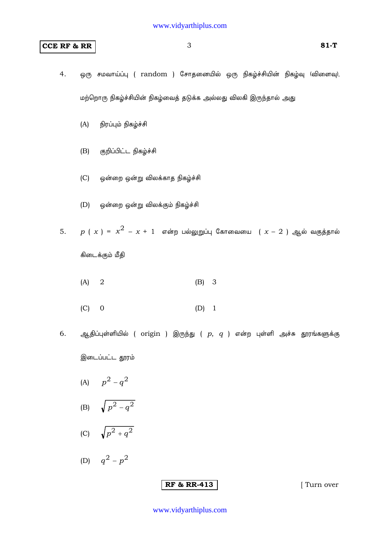## **CCE RF & RR** 3 81-T

- 4. ஒரு சமவாய்ப்பு ( random ) சோதனையில் ஒரு நிகழ்ச்சியின் நிகழ்வு (விளைவு), மற்றொரு நிகழ்ச்சியின் நிகழ்வைத் தடுக்க அல்லது விலகி இருந்தால் அது
	- (A) நிரப்பும் நிகழ்ச்சி
	- (B) குறிப்பிட்ட நிகழ்ச்சி
	- (C) ஒன்றை ஒன்று விலக்காத நிகழ்ச்சி
	- (D) ஒன்றை ஒன்று விலக்கும் நிகழ்ச்சி
- $5.$  *p* (  $x$  ) =  $x^2 x + 1$  என்ற பல்லுறுப்பு கோவையை (  $x 2$  ) ஆல் வகுத்தால்

கிடைக்கும் மீதி

- (A) 2 (B) 3
- (C) 0 (D) 1
- 6. ஆதிப்புள்ளியில் ( origin ) இருந்து (  $p, q$  ) என்ற புள்ளி அச்சு தூரங்களுக்கு

இடைப்பட்ட தூரம்

- (A)  $p^2 q^2$
- (B)  $\sqrt{p^2 q^2}$
- (C)  $\sqrt{p^2 + q^2}$
- (D)  $q^2 p^2$

## **RF & RR-413** [ Turn over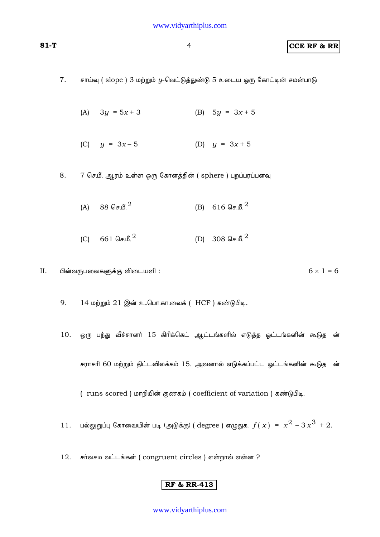## **81-T** 4 **CCE RF & RR**

- 7. சாய்வு ( slope ) 3 மற்றும் *y*-வெட்டுத்துண்டு 5 உடைய ஒரு கோட்டின் சமன்பாடு
	- (A)  $3y = 5x + 3$  (B)  $5y = 3x + 5$
	- (C)  $y = 3x 5$  (D)  $y = 3x + 5$
- 8. 7 செ.மீ. ஆரம் உள்ள ஒரு கோளத்தின் ( sphere ) புறப்பரப்பளவு
	- $(A)$  88 செ.மீ. <sup>2</sup> (B) 616 செ.மீ. <sup>2</sup>
	- $(C)$  661 செ.மீ.<sup>2</sup> (D) 308 செ.மீ.<sup>2</sup>
- II. பின்வருபவைகளுக்கு விடையளி :  $6 \times 1 = 6$ 
	- 9. 14 மற்றும் 21 இன் உ..பொ.கா.வைக் (HCF ) கண்டுபிடி.
	- 10. ஒரு பந்து வீச்சாளர் 15 கிரிக்கெட் ஆட்டங்களில் எடுத்த ஓட்டங்களின் கூடுத ன் சராசரி 60 மற்றும் திட்டவிலக்கம் 15. அவனால் எடுக்கப்பட்ட ஓட்டங்களின் கூடுத ன்

( runs scored ) மாறியின் குணகம் ( coefficient of variation ) கண்டுபிடி.

- $11.$  பல்லுறுப்பு கோவையின் படி (அடுக்கு) ( degree ) எழுதுக.  $f(x) = x^2 3x^3 + 2$ .
- 12. சர்வசம வட்டங்கள் ( congruent circles ) என்றால் என்ன ?

## **RF & RR-413**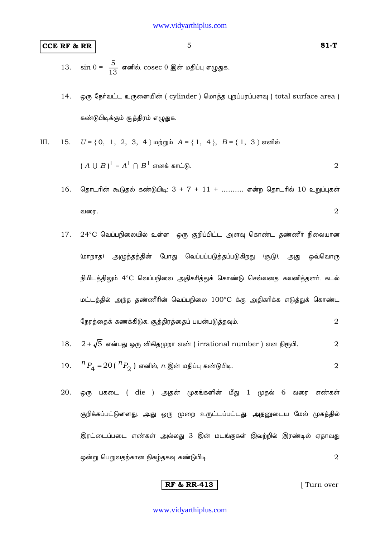## **CCE RF & RR**

- sin  $\theta = \frac{5}{13}$  எனில், cosec  $\theta$  இன் மதிப்பு எழுதுக. 13.
- ஒரு நேர்வட்ட உருளையின் ( cylinder ) மொத்த புறப்பரப்பளவு ( total surface area ) 14. கண்டுபிடிக்கும் சூத்திரம் எழுதுக.

 $U = \{0, 1, 2, 3, 4\}$  மற்றும்  $A = \{1, 4\}, B = \{1, 3\}$  எனில் III. 15.  $(A \cup B)^{T} = A^{T} \cap B^{T}$  எனக் காட்டு.

- தொடரின் கூடுதல் கண்டுபிடி:  $3 + 7 + 11 + ...$ ……… என்ற தொடரில் 10 உறுப்புகள் 16.  $\overline{2}$ வரை.
- 17. 24°C வெப்பநிலையில் உள்ள ஒரு குறிப்பிட்ட அளவு கொண்ட தண்ணீர் நிலையான (மாறாத) அழுத்தத்தின் போது வெப்பப்படுத்தப்படுகிறது (சூடு). அது ஒவ்வொரு நிமிடத்திலும் 4°C வெப்பநிலை அதிகரித்துக் கொண்டு செல்வதை கவனித்தனர். கடல் மட்டத்தில் அந்த தண்ணீரின் வெப்பநிலை 100°C க்கு அதிகரிக்க எடுத்துக் கொண்ட நேரத்தைக் கணக்கிடுக. சூத்திரத்தைப் பயன்படுத்தவும்.  $\overline{2}$
- $2+\sqrt{5}$  என்பது ஒரு விகிதமுறா எண் ( irrational number ) என நிரூபி. 18.  $\overline{2}$  ${}^{n}P_{4}$  =  $20$  (  ${}^{n}P_{2}$  ) எனில்,  $n$  இன் மதிப்பு கண்டுபிடி. 19.  $\overline{2}$
- 20. ஒரு பகடை (die ) அதன் முகங்களின் மீது 1 முதல் 6 வரை எண்கள் குறிக்கப்பட்டுளளது. அது ஒரு முறை உருட்டப்பட்டது. அதனுடைய மேல் முகத்தில் இரட்டைப்படை எண்கள் அல்லது 3 இன் மடங்குகள் இவற்றில் இரண்டில் ஏதாவது ஒன்று பெறுவதற்கான நிகழ்தகவு கண்டுபிடி.  $\overline{2}$

**RF & RR-413** 

[Turn over

 $81-T$ 

 $\overline{2}$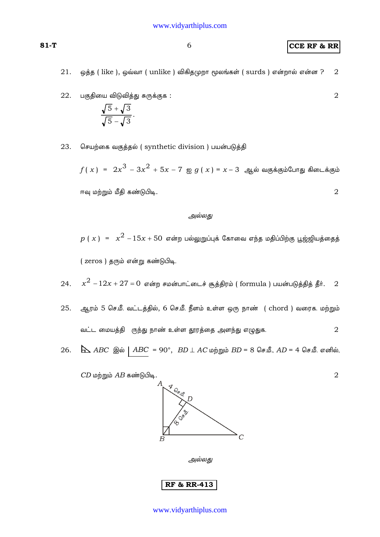**CCE RF & RR** 

 $\overline{2}$ 

- 21. ஒத்த ( like ), ஒவ்வா ( unlike ) விகிதமுறா மூலங்கள் ( surds ) என்றால் என்ன ?  $\overline{2}$
- பகுதியை விடுவித்து சுருக்குக : 22.

$$
\frac{\sqrt{5}+\sqrt{3}}{\sqrt{5}-\sqrt{3}}.
$$

செயற்கை வகுத்தல் (synthetic division ) பயன்படுத்தி 23.

 $f(x) = 2x^3 - 3x^2 + 5x - 7$  ஐ  $g(x) = x - 3$  ஆல் வகுக்கும்போது கிடைக்கும்  $\overline{2}$ ஈவு மற்றும் மீதி கண்டுபிடி.

#### அல்லது

 $p(x) = x^{2} - 15x + 50$  என்ற பல்லுறுப்புக் கோவை எந்த மதிப்பிற்கு பூஜ்ஜியத்தைத் (zeros) தரும் என்று கண்டுபிடி.

- $x^2 12x + 27 = 0$  என்ற சமன்பாட்டைச் சூத்திரம் ( formula ) பயன்படுத்தித் தீர்.  $2$  $24$
- ஆரம் 5 செ.மீ. வட்டத்தில், 6 செ.மீ. நீளம் உள்ள ஒரு நாண் (chord ) வரைக. மற்றும் 25. வட்ட மையத்தி ருந்து நாண் உள்ள தூரத்தை அளந்து எழுதுக.  $\boldsymbol{2}$
- $\Delta$  ABC இல் | ABC = 90°, BD  $\perp$  AC மற்றும் BD = 8 செ.மீ., AD = 4 செ.மீ. எனில், 26.

 $CD$  மற்றும்  $AB$  கண்டுபிடி.

 $\subset$  $\boldsymbol{B}$ அல்லது **RF & RR-413** 

$$
\textbf{81-T}
$$

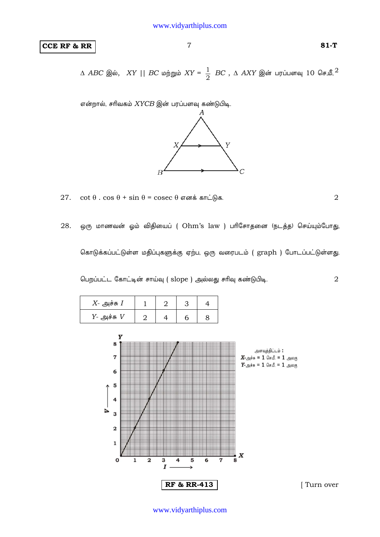## **CCE RF & RR 81-T**

 $\Delta$   $ABC$  இல்,  $\; XY \mid \mid BC$  மற்றும்  $XY = \frac{1}{2}$   $BC$  ,  $\Delta$   $AXY$  இன் பரப்பளவு  $10$  செ,மீ, $^2$ 

 $\sigma$ ன்றால், சரிவகம்  $XYCB$  இன் பரப்பளவு கண்டுபிடி.



 $27.$  cot θ . cos θ + sin θ = cosec θ σ απέ σπ L (h, σ . 2)

28. ஒரு மாணவன் ஓம் விதியைப் ( Ohm's law ) பரிசோதனை (நடத்த) செய்யும்போது,

கொடுக்கப்பட்டுள்ள மதிப்புகளுக்கு ஏற்ப, ஒரு வரைபடம் ( graph ) போடப்பட்டுள்ளது.

பெறப்பட்ட கோட்டின் சாய்வு ( slope ) அல்லது சரிவு கண்டுபிடி.  $\,$ 

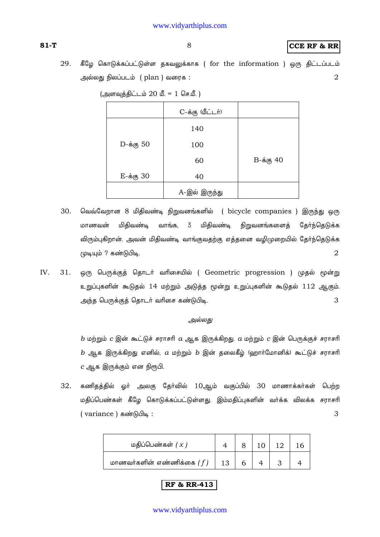(அளவுத்திட்டம்  $20$  மீ. = 1 செ.மீ.)

முடியும் ? கண்டுபிடி.

**CCE RF & RR** 

29. கீழே கொடுக்கப்பட்டுள்ள தகவலுக்காக ( for the information ) ஒரு திட்டப்படம்  $\overline{2}$ அல்லது நிலப்படம் (plan ) வரைக :

|           | C-க்கு (மீட்டர்) |           |
|-----------|------------------|-----------|
|           | 140              |           |
| D-க்கு 50 | 100              |           |
|           | 60               | B-க்கு 40 |
| E-க்கு 30 | 40               |           |
|           | A-இல் இருந்து    |           |

வெவ்வேறான 8 மிதிவண்டி நிறுவனங்களில் ( bicycle companies ) இருந்து ஒரு 30. மாணவன் மிதிவண்டி வாங்க,  $\overline{3}$ மிதிவண்டி நிறுவனங்களைத் தேர்ந்தெடுக்க விரும்புகிறான். அவன் மிதிவண்டி வாங்குவதற்கு எத்தனை வழிமுறையில் தேர்ந்தெடுக்க

 $\overline{2}$ 

IV. ஒரு பெருக்குத் தொடர் வரிசையில் ( Geometric progression ) முதல் மூன்று  $31.$ உறுப்புகளின் கூடுதல் 14 மற்றும் அடுத்த மூன்று உறுப்புகளின் கூடுதல் 112 ஆகும். 3 அந்த பெருக்குத் தொடர் வரிசை கண்டுபிடி.

#### அல்லது

 $b$  மற்றும்  $c$  இன் கூட்டுச் சராசரி  $a$  ஆக இருக்கிறது.  $a$  மற்றும்  $c$  இன் பெருக்குச் சராசரி  $b$  ஆக இருக்கிறது எனில்,  $a$  மற்றும்  $b$  இன் தலைகீழ் (ஹார்மோனிக்) கூட்டுச் சராசரி  $c$  ஆக இருக்கும் என நிரூபி.

32. கணிதத்தில் ஓர் அலகு தேர்வில் 10ஆம் வகுப்பில் 30 மாணாக்கர்கள் பெற்ற மதிப்பெண்கள் கீழே கொடுக்கப்பட்டுள்ளது. இம்மதிப்புகளின் வர்க்க விலக்க சராசரி (variance) கண்டுபிடி: 3

| மதிப்பெண்கள் $(x)$          |  |  |  |
|-----------------------------|--|--|--|
| மாணவர்களின் எண்ணிக்கை $(f)$ |  |  |  |

## **RF & RR-413**

#### www.vidyarthiplus.com

### $81-T$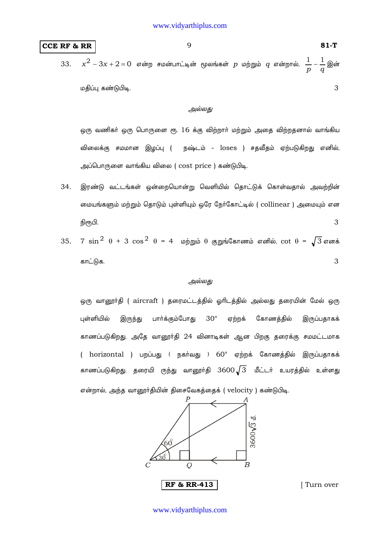## **CCE RF & RR** 81-T

33. 
$$
x^2 - 3x + 2 = 0
$$
 என்ற சமன்பாட்டின் மூலங்கள் *p* மற்றும் *q* என்றால்,  $\frac{1}{p} - \frac{1}{q}$ இன்   
மதிப்பு கண்டுபிடி.

#### *அல்லது*

ஒரு வணிகா் ஒரு பொருளை ரூ. 16 க்கு விற்றாா் மற்றும் அதை விற்றதனால் வாங்கிய விலைக்கு சமமான இழப்பு ( நஷ்டம் - loses ) சதவீதம் ஏற்படுகிறது எனில், அப்பொருளை வாங்கிய விலை ( cost price ) கண்டுபிடி.

- 34. இரண்டு வட்டங்கள் ஒன்றையொன்று வெளியில் தொட்டுக் கொள்வதால் அவற்றின் மையங்களும் மற்றும் தொடும் புள்ளியும் ஒரே நேர்கோட்டில் ( collinear ) அமையும் என  $\beta$ ருபி. 3
- 35. 7  $\sin^2 \theta + 3 \cos^2 \theta = 4$  மற்றும் θ குறுங்கோணம் எனில், cot θ =  $\sqrt{3}$  எனக் காட்டுக.  $\sim$  3

#### அல்லது

ஒரு வானூா்தி ( aircraft ) தரைமட்டத்தில் ஓாிடத்தில் அல்லது தரையின் மேல் ஒரு புள்ளியில் இருந்து பார்க்கும்போது  $30^{\circ}$  ஏற்றக் கோணத்தில் இருப்பதாகக் காணப்படுகிறது. அதே வானூர்தி 24 வினாடிகள் ஆன பிறகு தரைக்கு சமமட்டமாக ( horizontal ) பறப்பது ( நகர்வது )  $60^\circ$  ஏற்றக் கோணத்தில் இருப்பதாகக் காணப்படுகிறது. தரையி ருந்து வானூா்தி  $3600\sqrt{3}$  மீட்டா் உயரத்தில் உள்ளது என்றால், அந்த வானூர்தியின் திசைவேகத்தைக் ( velocity ) கண்டுபிடி.

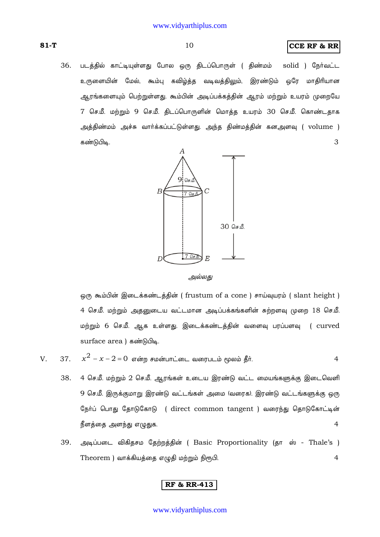### **CCE RF & RR**

36. படத்தில் காட்டியுள்ளது போல ஒரு திடப்பொருள் ( திண்மம் solid ) நேர்வட்ட உருளையின் மேல், கூம்பு கவிழ்த்த வடிவத்திலும், இரண்டும் ஒரே மாதிரியான ஆரங்களையும் பெற்றுள்ளது. கூம்பின் அடிப்பக்கத்தின் ஆரம் மற்றும் உயரம் முறையே 7 செ.மீ. மற்றும் 9 செ.மீ. திடப்பொருளின் மொத்த உயரம் 30 செ.மீ. கொண்டதாக அத்திண்மம் அச்சு வார்க்கப்பட்டுள்ளது. அந்த திண்மத்தின் கனஅளவு ( volume ) கண்டுபிடி. 3



அல்லது

ஒரு கூம்பின் இடைக்கண்டத்தின் ( frustum of a cone ) சாய்வுயரம் ( slant height ) 4 செ.மீ. மற்றும் அதனுடைய வட்டமான அடிப்பக்கங்களின் சுற்றளவு முறை 18 செ.மீ. மற்றும் 6 செ.மீ. ஆக உள்ளது. இடைக்கண்டத்தின் வளைவு பரப்பளவு ( curved surface area) கண்டுபிடி.

- $x^2 x 2 = 0$  என்ற சமன்பாட்டை வரைபடம் மூலம் தீா். V. 37.  $\overline{4}$ 
	- 4 செ.மீ. மற்றும் 2 செ.மீ. ஆரங்கள் உடைய இரண்டு வட்ட மையங்களுக்கு இடைவெளி 38. 9 செ.மீ. இருக்குமாறு இரண்டு வட்டங்கள் அமை (வரைக). இரண்டு வட்டங்களுக்கு ஒரு நேர்ப் பொது தோடுகோடு ( direct common tangent ) வரைந்து தொடுகோட்டின் நீளத்தை அளந்து எழுதுக.  $\overline{4}$
	- 39. அடிப்படை விகிதசம தேற்றத்தின் ( Basic Proportionality (தா ஸ் - Thale's ) Theorem ) வாக்கியத்தை எழுதி மற்றும் நிரூபி.  $\overline{4}$

## **RF & RR-413**

#### www.vidyarthiplus.com

 $81-T$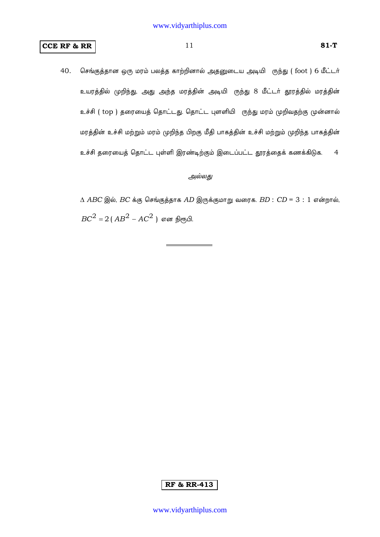## **CCE RF & RR**

40. செங்குத்தான ஒரு மரம் பலத்த காற்றினால் அதனுடைய அடியி ருந்து (foot ) 6 மீட்டர் உயரத்தில் முறிந்து, அது அந்த மரத்தின் அடியி ருந்து 8 மீட்டர் தூரத்தில் மரத்தின் உச்சி ( top ) தரையைத் தொட்டது. தொட்ட புளளியி ருந்து மரம் முறிவதற்கு முன்னால் மரத்தின் உச்சி மற்றும் மரம் முறிந்த பிறகு மீதி பாகத்தின் உச்சி மற்றும் முறிந்த பாகத்தின் உச்சி தரையைத் தொட்ட புள்ளி இரண்டிற்கும் இடைப்பட்ட தூரத்தைக் கணக்கிடுக.  $\overline{4}$ 

#### அல்லது

 $\triangle$  ABC இல், BC க்கு செங்குத்தாக AD இருக்குமாறு வரைக. BD : CD = 3 : 1 என்றால்,  $BC^{2} = 2(AB^{2} - AC^{2})$  என நிரூபி.

## $81-T$

## **RF & RR-413**